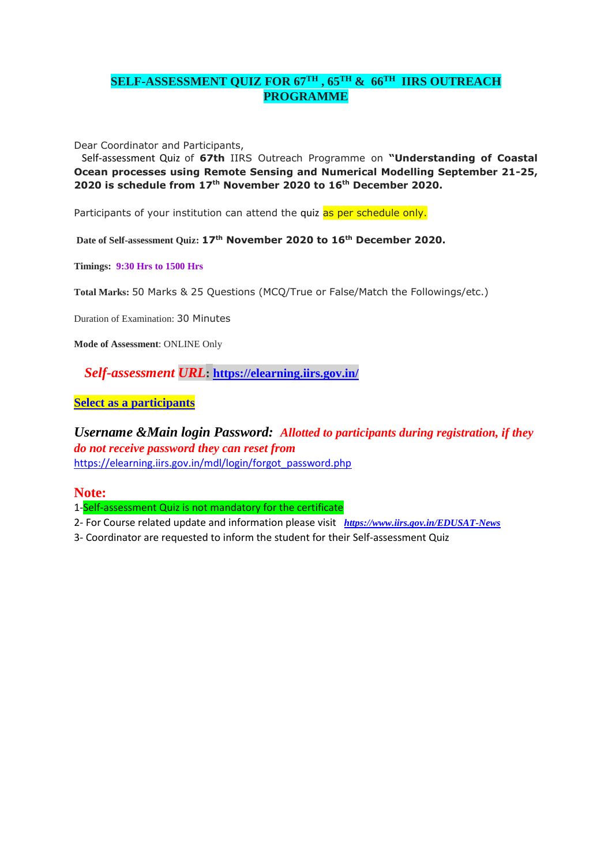## **SELF-ASSESSMENT QUIZ FOR 67TH , 65TH & 66TH IIRS OUTREACH PROGRAMME**

Dear Coordinator and Participants,

 Self-assessment Quiz of **67th** IIRS Outreach Programme on **"Understanding of Coastal Ocean processes using Remote Sensing and Numerical Modelling September 21-25, 2020 is schedule from 17th November 2020 to 16th December 2020.**

Participants of your institution can attend the quiz as per schedule only.

**Date of Self-assessment Quiz: 17th November 2020 to 16th December 2020.**

**Timings: 9:30 Hrs to 1500 Hrs**

**Total Marks:** 50 Marks & 25 Questions (MCQ/True or False/Match the Followings/etc.)

Duration of Examination: 30 Minutes

**Mode of Assessment**: ONLINE Only

 *Self-assessment URL***: <https://elearning.iirs.gov.in/>**

**Select as a participants** 

*Username &Main login Password: Allotted to participants during registration, if they do not receive password they can reset from*  [https://elearning.iirs.gov.in/mdl/login/forgot\\_password.php](https://elearning.iirs.gov.in/mdl/login/forgot_password.php)

**Note:**

1-Self-assessment Quiz is not mandatory for the certificate

2- For Course related update and information please visit *<https://www.iirs.gov.in/EDUSAT-News>*

3- Coordinator are requested to inform the student for their Self-assessment Quiz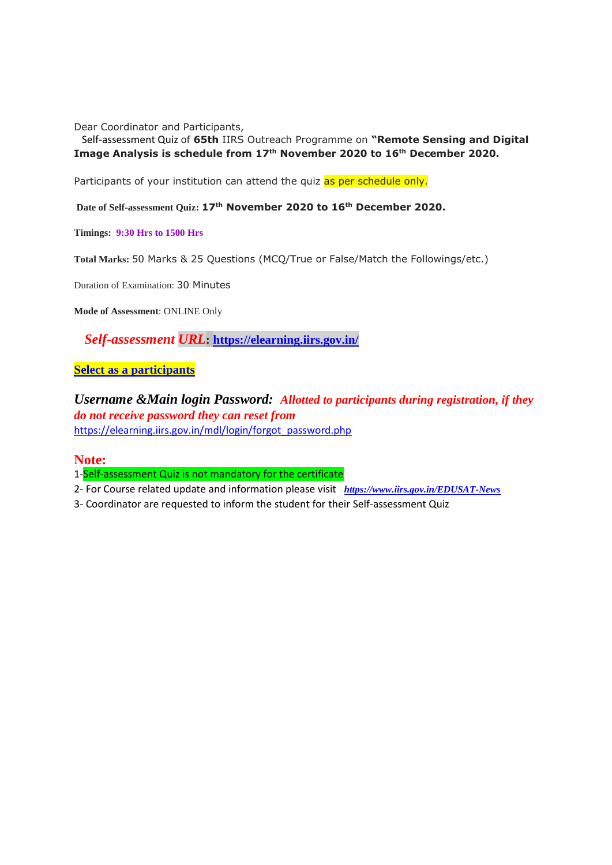Dear Coordinator and Participants,

 Self-assessment Quiz of **65th** IIRS Outreach Programme on **"Remote Sensing and Digital Image Analysis is schedule from 17th November 2020 to 16th December 2020.**

Participants of your institution can attend the quiz as per schedule only.

**Date of Self-assessment Quiz: 17th November 2020 to 16th December 2020.**

**Timings: 9:30 Hrs to 1500 Hrs**

**Total Marks:** 50 Marks & 25 Questions (MCQ/True or False/Match the Followings/etc.)

Duration of Examination: 30 Minutes

**Mode of Assessment**: ONLINE Only

 *Self-assessment URL***: <https://elearning.iirs.gov.in/>**

**Select as a participants** 

*Username &Main login Password: Allotted to participants during registration, if they do not receive password they can reset from*  [https://elearning.iirs.gov.in/mdl/login/forgot\\_password.php](https://elearning.iirs.gov.in/mdl/login/forgot_password.php)

**Note:**

1-Self-assessment Quiz is not mandatory for the certificate

- 2- For Course related update and information please visit *<https://www.iirs.gov.in/EDUSAT-News>*
- 3- Coordinator are requested to inform the student for their Self-assessment Quiz